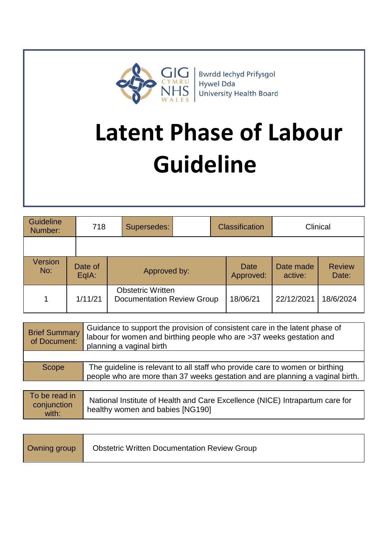

**Bwrdd lechyd Prifysgol** Hywel Dda **University Health Board** 

# **Latent Phase of Labour Guideline**

| Guideline<br>Number: | 718              | Supersedes:                                                   | <b>Classification</b> |                   | Clinical             |                        |
|----------------------|------------------|---------------------------------------------------------------|-----------------------|-------------------|----------------------|------------------------|
|                      |                  |                                                               |                       |                   |                      |                        |
| Version<br>No:       | Date of<br>EqIA: | Approved by:                                                  |                       | Date<br>Approved: | Date made<br>active: | <b>Review</b><br>Date: |
| 1                    | 1/11/21          | <b>Obstetric Written</b><br><b>Documentation Review Group</b> |                       | 18/06/21          | 22/12/2021           | 18/6/2024              |

| <b>Brief Summary</b><br>of Document: | Guidance to support the provision of consistent care in the latent phase of<br>labour for women and birthing people who are >37 weeks gestation and<br>planning a vaginal birth |
|--------------------------------------|---------------------------------------------------------------------------------------------------------------------------------------------------------------------------------|
|                                      |                                                                                                                                                                                 |
| Scope                                | The guideline is relevant to all staff who provide care to women or birthing<br>people who are more than 37 weeks gestation and are planning a vaginal birth.                   |
|                                      |                                                                                                                                                                                 |

| To be read in<br>conjunction<br>with: | National Institute of Health and Care Excellence (NICE) Intrapartum care for<br>healthy women and babies [NG190] |
|---------------------------------------|------------------------------------------------------------------------------------------------------------------|
|---------------------------------------|------------------------------------------------------------------------------------------------------------------|

| Owning group | <b>Obstetric Written Documentation Review Group</b> |
|--------------|-----------------------------------------------------|
|--------------|-----------------------------------------------------|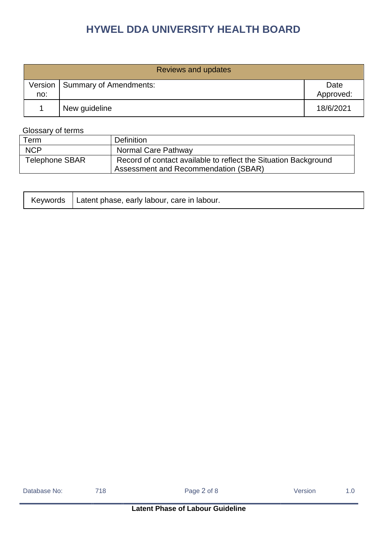|     | <b>Reviews and updates</b>       |                   |  |  |  |  |
|-----|----------------------------------|-------------------|--|--|--|--|
| no: | Version   Summary of Amendments: | Date<br>Approved: |  |  |  |  |
|     | New guideline                    | 18/6/2021         |  |  |  |  |

### Glossary of terms

| Term                  | <b>Definition</b>                                                                                       |
|-----------------------|---------------------------------------------------------------------------------------------------------|
| <b>NCP</b>            | Normal Care Pathway                                                                                     |
| <b>Telephone SBAR</b> | Record of contact available to reflect the Situation Background<br>Assessment and Recommendation (SBAR) |

|  | Keywords   Latent phase, early labour, care in labour. |  |
|--|--------------------------------------------------------|--|
|--|--------------------------------------------------------|--|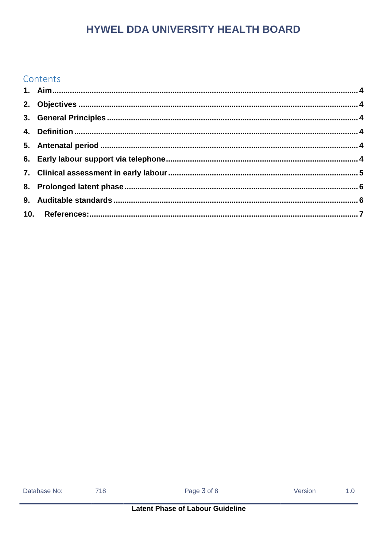### Contents

| Database No: |  |
|--------------|--|
|              |  |

718

 $1.0$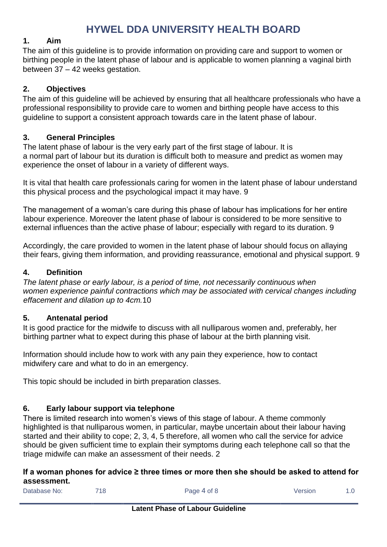### <span id="page-3-0"></span>**1. Aim**

The aim of this guideline is to provide information on providing care and support to women or birthing people in the latent phase of labour and is applicable to women planning a vaginal birth between 37 – 42 weeks gestation.

### <span id="page-3-1"></span>**2. Objectives**

The aim of this guideline will be achieved by ensuring that all healthcare professionals who have a professional responsibility to provide care to women and birthing people have access to this guideline to support a consistent approach towards care in the latent phase of labour.

### <span id="page-3-2"></span>**3. General Principles**

The latent phase of labour is the very early part of the first stage of labour. It is a normal part of labour but its duration is difficult both to measure and predict as women may experience the onset of labour in a variety of different ways.

It is vital that health care professionals caring for women in the latent phase of labour understand this physical process and the psychological impact it may have. 9

The management of a woman's care during this phase of labour has implications for her entire labour experience. Moreover the latent phase of labour is considered to be more sensitive to external influences than the active phase of labour; especially with regard to its duration. 9

Accordingly, the care provided to women in the latent phase of labour should focus on allaying their fears, giving them information, and providing reassurance, emotional and physical support. 9

### <span id="page-3-3"></span>**4. Definition**

*The latent phase or early labour, is a period of time, not necessarily continuous when women experience painful contractions which may be associated with cervical changes including effacement and dilation up to 4cm.*10

### <span id="page-3-4"></span>**5. Antenatal period**

It is good practice for the midwife to discuss with all nulliparous women and, preferably, her birthing partner what to expect during this phase of labour at the birth planning visit.

Information should include how to work with any pain they experience, how to contact midwifery care and what to do in an emergency.

This topic should be included in birth preparation classes.

### <span id="page-3-5"></span>**6. Early labour support via telephone**

There is limited research into women's views of this stage of labour. A theme commonly highlighted is that nulliparous women, in particular, maybe uncertain about their labour having started and their ability to cope; 2, 3, 4, 5 therefore, all women who call the service for advice should be given sufficient time to explain their symptoms during each telephone call so that the triage midwife can make an assessment of their needs. 2

### **If a woman phones for advice ≥ three times or more then she should be asked to attend for assessment.**

| Database No: | 718 | Page 4 of 8 | Version |  |
|--------------|-----|-------------|---------|--|
|              |     |             |         |  |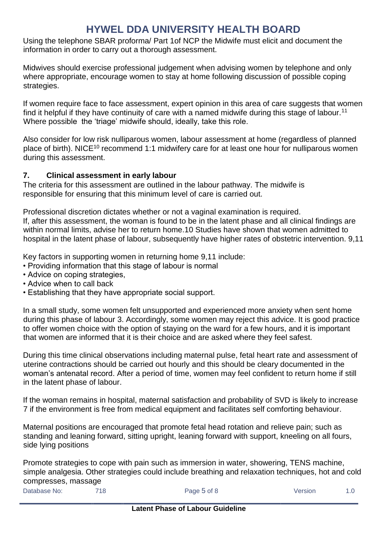Using the telephone SBAR proforma/ Part 1of NCP the Midwife must elicit and document the information in order to carry out a thorough assessment.

Midwives should exercise professional judgement when advising women by telephone and only where appropriate, encourage women to stay at home following discussion of possible coping strategies.

If women require face to face assessment, expert opinion in this area of care suggests that women find it helpful if they have continuity of care with a named midwife during this stage of labour.<sup>11</sup> Where possible the 'triage' midwife should, ideally, take this role.

Also consider for low risk nulliparous women, labour assessment at home (regardless of planned place of birth). NICE<sup>10</sup> recommend 1:1 midwifery care for at least one hour for nulliparous women during this assessment.

### <span id="page-4-0"></span>**7. Clinical assessment in early labour**

The criteria for this assessment are outlined in the labour pathway. The midwife is responsible for ensuring that this minimum level of care is carried out.

Professional discretion dictates whether or not a vaginal examination is required. If, after this assessment, the woman is found to be in the latent phase and all clinical findings are within normal limits, advise her to return home.10 Studies have shown that women admitted to

hospital in the latent phase of labour, subsequently have higher rates of obstetric intervention, 9.11

Key factors in supporting women in returning home 9,11 include:

- Providing information that this stage of labour is normal
- Advice on coping strategies,
- Advice when to call back
- Establishing that they have appropriate social support.

In a small study, some women felt unsupported and experienced more anxiety when sent home during this phase of labour 3. Accordingly, some women may reject this advice. It is good practice to offer women choice with the option of staying on the ward for a few hours, and it is important that women are informed that it is their choice and are asked where they feel safest.

During this time clinical observations including maternal pulse, fetal heart rate and assessment of uterine contractions should be carried out hourly and this should be cleary documented in the woman's antenatal record. After a period of time, women may feel confident to return home if still in the latent phase of labour.

If the woman remains in hospital, maternal satisfaction and probability of SVD is likely to increase 7 if the environment is free from medical equipment and facilitates self comforting behaviour.

Maternal positions are encouraged that promote fetal head rotation and relieve pain; such as standing and leaning forward, sitting upright, leaning forward with support, kneeling on all fours, side lying positions

Promote strategies to cope with pain such as immersion in water, showering, TENS machine, simple analgesia. Other strategies could include breathing and relaxation techniques, hot and cold compresses, massage

Database No: 718 718 Page 5 of 8 Version 1.0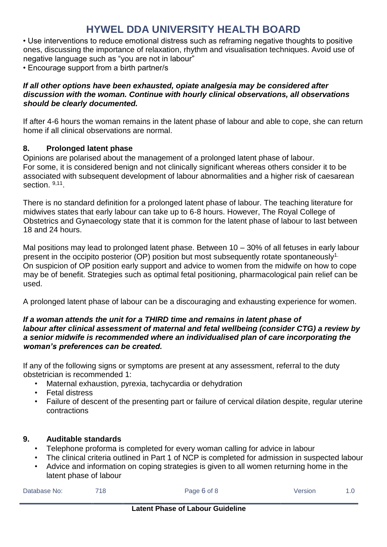• Use interventions to reduce emotional distress such as reframing negative thoughts to positive ones, discussing the importance of relaxation, rhythm and visualisation techniques. Avoid use of negative language such as "you are not in labour"

• Encourage support from a birth partner/s

### *If all other options have been exhausted, opiate analgesia may be considered after discussion with the woman. Continue with hourly clinical observations, all observations should be clearly documented.*

If after 4-6 hours the woman remains in the latent phase of labour and able to cope, she can return home if all clinical observations are normal.

### <span id="page-5-0"></span>**8. Prolonged latent phase**

Opinions are polarised about the management of a prolonged latent phase of labour. For some, it is considered benign and not clinically significant whereas others consider it to be associated with subsequent development of labour abnormalities and a higher risk of caesarean section. 9,11.

There is no standard definition for a prolonged latent phase of labour. The teaching literature for midwives states that early labour can take up to 6-8 hours. However, The Royal College of Obstetrics and Gynaecology state that it is common for the latent phase of labour to last between 18 and 24 hours.

Mal positions may lead to prolonged latent phase. Between 10 – 30% of all fetuses in early labour present in the occipito posterior (OP) position but most subsequently rotate spontaneously<sup>1.</sup> On suspicion of OP position early support and advice to women from the midwife on how to cope may be of benefit. Strategies such as optimal fetal positioning, pharmacological pain relief can be used.

A prolonged latent phase of labour can be a discouraging and exhausting experience for women.

#### *If a woman attends the unit for a THIRD time and remains in latent phase of labour after clinical assessment of maternal and fetal wellbeing (consider CTG) a review by a senior midwife is recommended where an individualised plan of care incorporating the woman's preferences can be created.*

If any of the following signs or symptoms are present at any assessment, referral to the duty obstetrician is recommended 1:

- Maternal exhaustion, pyrexia, tachycardia or dehydration
- Fetal distress
- Failure of descent of the presenting part or failure of cervical dilation despite, regular uterine contractions

### <span id="page-5-1"></span>**9. Auditable standards**

- Telephone proforma is completed for every woman calling for advice in labour
- The clinical criteria outlined in Part 1 of NCP is completed for admission in suspected labour
- Advice and information on coping strategies is given to all women returning home in the latent phase of labour

| Database No: | 718 | Page 6 of 8 | Version |  |
|--------------|-----|-------------|---------|--|
|              |     |             |         |  |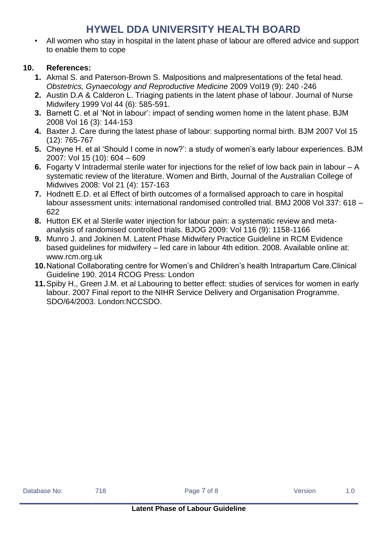• All women who stay in hospital in the latent phase of labour are offered advice and support to enable them to cope

### <span id="page-6-0"></span>**10. References:**

- **1.** Akmal S. and Paterson-Brown S. Malpositions and malpresentations of the fetal head. *Obstetrics, Gynaecology and Reproductive Medicine* 2009 Vol19 (9): 240 -246
- **2.** Austin D.A & Calderon L. Triaging patients in the latent phase of labour. Journal of Nurse Midwifery 1999 Vol 44 (6): 585-591.
- **3.** Barnett C. et al 'Not in labour': impact of sending women home in the latent phase. BJM 2008 Vol 16 (3): 144-153
- **4.** Baxter J. Care during the latest phase of labour: supporting normal birth. BJM 2007 Vol 15 (12): 765-767
- **5.** Cheyne H. et al 'Should I come in now?': a study of women's early labour experiences. BJM 2007: Vol 15 (10): 604 – 609
- **6.** Fogarty V Intradermal sterile water for injections for the relief of low back pain in labour A systematic review of the literature. Women and Birth, Journal of the Australian College of Midwives 2008: Vol 21 (4): 157-163
- **7.** Hodnett E.D. et al Effect of birth outcomes of a formalised approach to care in hospital labour assessment units: international randomised controlled trial. BMJ 2008 Vol 337: 618 – 622
- **8.** Hutton EK et al Sterile water injection for labour pain: a systematic review and metaanalysis of randomised controlled trials. BJOG 2009: Vol 116 (9): 1158-1166
- **9.** Munro J. and Jokinen M. Latent Phase Midwifery Practice Guideline in RCM Evidence based guidelines for midwifery – led care in labour 4th edition. 2008. Available online at: www.rcm.org.uk
- **10.**National Collaborating centre for Women's and Children's health Intrapartum Care.Clinical Guideline 190. 2014 RCOG Press: London
- **11.**Spiby H., Green J.M. et al Labouring to better effect: studies of services for women in early labour. 2007 Final report to the NIHR Service Delivery and Organisation Programme. SDO/64/2003. London:NCCSDO.